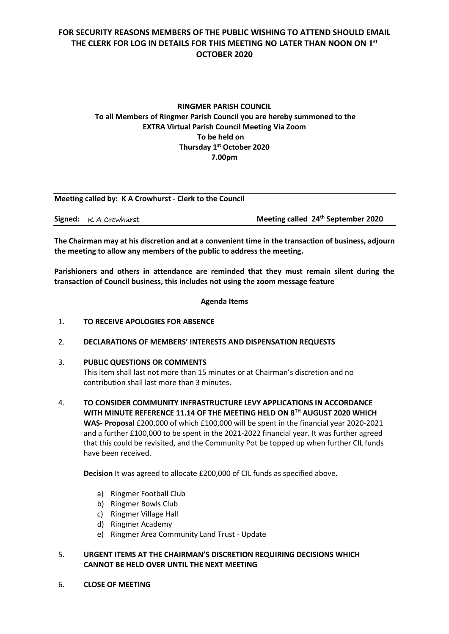## **FOR SECURITY REASONS MEMBERS OF THE PUBLIC WISHING TO ATTEND SHOULD EMAIL THE CLERK FOR LOG IN DETAILS FOR THIS MEETING NO LATER THAN NOON ON 1 st OCTOBER 2020**

## **RINGMER PARISH COUNCIL To all Members of Ringmer Parish Council you are hereby summoned to the EXTRA Virtual Parish Council Meeting Via Zoom To be held on Thursday 1 st October 2020 7.00pm**

| Meeting called by: K A Crowhurst - Clerk to the Council |                                                |
|---------------------------------------------------------|------------------------------------------------|
| <b>Signed:</b> $K$ A Crowhurst                          | Meeting called 24 <sup>th</sup> September 2020 |

**The Chairman may at his discretion and at a convenient time in the transaction of business, adjourn the meeting to allow any members of the public to address the meeting.**

**Parishioners and others in attendance are reminded that they must remain silent during the transaction of Council business, this includes not using the zoom message feature**

**Agenda Items**

### 1. **TO RECEIVE APOLOGIES FOR ABSENCE**

#### 2. **DECLARATIONS OF MEMBERS' INTERESTS AND DISPENSATION REQUESTS**

#### 3. **PUBLIC QUESTIONS OR COMMENTS**

This item shall last not more than 15 minutes or at Chairman's discretion and no contribution shall last more than 3 minutes.

4. **TO CONSIDER COMMUNITY INFRASTRUCTURE LEVY APPLICATIONS IN ACCORDANCE WITH MINUTE REFERENCE 11.14 OF THE MEETING HELD ON 8TH AUGUST 2020 WHICH WAS- Proposal** £200,000 of which £100,000 will be spent in the financial year 2020-2021 and a further £100,000 to be spent in the 2021-2022 financial year. It was further agreed that this could be revisited, and the Community Pot be topped up when further CIL funds have been received.

**Decision** It was agreed to allocate £200,000 of CIL funds as specified above.

- a) Ringmer Football Club
- b) Ringmer Bowls Club
- c) Ringmer Village Hall
- d) Ringmer Academy
- e) Ringmer Area Community Land Trust Update
- 5. **URGENT ITEMS AT THE CHAIRMAN'S DISCRETION REQUIRING DECISIONS WHICH CANNOT BE HELD OVER UNTIL THE NEXT MEETING**
- 6. **CLOSE OF MEETING**